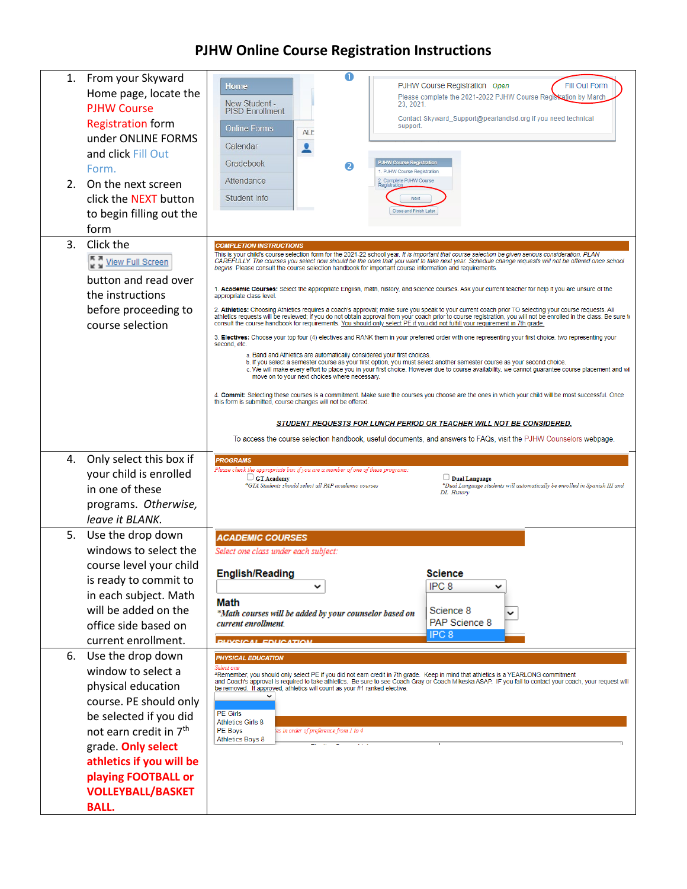## **PJHW Online Course Registration Instructions**

| 2 <sup>1</sup> | 1. From your Skyward<br>Home page, locate the<br><b>PJHW Course</b><br><b>Registration form</b><br>under ONLINE FORMS<br>and click Fill Out<br>Form.<br>On the next screen<br>click the NEXT button<br>to begin filling out the<br>form                                      | $\bf o$<br>PJHW Course Registration Open<br>Fill Out Form<br>Home<br>Please complete the 2021-2022 PJHW Course Registration by March<br>New Student -<br>23.2021.<br><b>PISD Enrollment</b><br>Contact Skyward_Support@pearlandisd.org if you need technical<br>support.<br><b>Online Forms</b><br><b>ALE</b><br>Calendar<br>0<br>Gradebook<br><b>PJHW Course Registration</b><br>2<br>1. PJHW Course Registration<br>Attendance<br>2. Complete PJHW Course<br>Registration<br>Student Info<br>Next<br>Close and Finish Later                                                                                                                                                                                                                                                                                                                                                                                                                                                                                                                                                                                                                                                                                                                                                                                                                                                                                                                                                                                                                                                                                                                                                                                                                                                                                                                                                                                                                                                                                                                                                                                         |  |
|----------------|------------------------------------------------------------------------------------------------------------------------------------------------------------------------------------------------------------------------------------------------------------------------------|-----------------------------------------------------------------------------------------------------------------------------------------------------------------------------------------------------------------------------------------------------------------------------------------------------------------------------------------------------------------------------------------------------------------------------------------------------------------------------------------------------------------------------------------------------------------------------------------------------------------------------------------------------------------------------------------------------------------------------------------------------------------------------------------------------------------------------------------------------------------------------------------------------------------------------------------------------------------------------------------------------------------------------------------------------------------------------------------------------------------------------------------------------------------------------------------------------------------------------------------------------------------------------------------------------------------------------------------------------------------------------------------------------------------------------------------------------------------------------------------------------------------------------------------------------------------------------------------------------------------------------------------------------------------------------------------------------------------------------------------------------------------------------------------------------------------------------------------------------------------------------------------------------------------------------------------------------------------------------------------------------------------------------------------------------------------------------------------------------------------------|--|
| 3.             | Click the<br>View Full Screen<br>button and read over<br>the instructions<br>before proceeding to<br>course selection                                                                                                                                                        | <b>COMPLETION INSTRUCTIONS</b><br>This is your child's course selection form for the 2021-22 school year. It is important that course selection be given serious consideration. PLAN<br>CAREFULLY. The courses you select now should be the ones that you want to take next year. Schedule change requests will not be offered once school<br>begins. Please consult the course selection handbook for important course information and requirements.<br>1. Academic Courses: Select the appropriate English, math, history, and science courses. Ask your current teacher for help if you are unsure of the<br>appropriate class level.<br>2. Athletics: Choosing Athletics requires a coach's approval; make sure you speak to your current coach prior TO selecting your course requests. All<br>athletics requests will be reviewed; if you do not obtain approval from your coach prior to course registration, you will not be enrolled in the class. Be sure to<br>consult the course handbook for requirements. You should only select PE if you did not fulfill your requirement in 7th grade.<br>3. Electives: Choose your top four (4) electives and RANK them in your preferred order with one representing your first choice, two representing your<br>second, etc.<br>a. Band and Athletics are automatically considered your first choices.<br>b. If you select a semester course as your first option, you must select another semester course as your second choice.<br>c. We will make every effort to place you in your first choice. However due to course availability, we cannot guarantee course placement and wil<br>move on to your next choices where necessary.<br>4. Commit: Selecting these courses is a commitment. Make sure the courses you choose are the ones in which your child will be most successful. Once<br>this form is submitted, course changes will not be offered.<br><b>STUDENT REQUESTS FOR LUNCH PERIOD OR TEACHER WILL NOT BE CONSIDERED.</b><br>To access the course selection handbook, useful documents, and answers to FAQs, visit the PJHW Counselors webpage. |  |
| 4.             | Only select this box if<br>your child is enrolled<br>in one of these<br>programs. Otherwise,<br>leave it BLANK.                                                                                                                                                              | <b>PROGRAMS</b><br>Please check the appropriate box if you are a member of one of these programs:<br>$\Box$ GT Academy<br>$\Box$ Dual Language<br>*GTA Students should select all PAP academic courses<br>*Dual Language students will automatically be enrolled in Spanish III and<br>DL History                                                                                                                                                                                                                                                                                                                                                                                                                                                                                                                                                                                                                                                                                                                                                                                                                                                                                                                                                                                                                                                                                                                                                                                                                                                                                                                                                                                                                                                                                                                                                                                                                                                                                                                                                                                                                     |  |
| 5.             | Use the drop down<br>windows to select the<br>course level your child<br>is ready to commit to<br>in each subject. Math<br>will be added on the<br>office side based on<br>current enrollment.                                                                               | <b>ACADEMIC COURSES</b><br>Select one class under each subject:<br><b>English/Reading</b><br>Science<br>IPC <sub>8</sub><br>v<br>v<br>Math<br>Science 8<br>*Math courses will be added by your counselor based on<br>PAP Science 8<br>current enrollment<br>IPC <sub>8</sub><br><b><i><u>DUVEICAL EDUCATION</u></i></b>                                                                                                                                                                                                                                                                                                                                                                                                                                                                                                                                                                                                                                                                                                                                                                                                                                                                                                                                                                                                                                                                                                                                                                                                                                                                                                                                                                                                                                                                                                                                                                                                                                                                                                                                                                                               |  |
| 6.             | Use the drop down<br>window to select a<br>physical education<br>course. PE should only<br>be selected if you did<br>not earn credit in 7 <sup>th</sup><br>grade. Only select<br>athletics if you will be<br>playing FOOTBALL or<br><b>VOLLEYBALL/BASKET</b><br><b>BALL.</b> | <b>PHYSICAL EDUCATION</b><br>Select one<br>*Remember, you should only select PE if you did not earn credit in 7th grade. Keep in mind that athletics is a YEARLONG commitment<br>and Coach's approval is required to take athletics. Be sure to see Coach Gray or Coach Mikeska ASAP. IF you fail to contact your coach, your request will<br>be removed. If approved, athletics will count as your #1 ranked elective.<br><b>PE Girls</b><br><b>Athletics Girls 8</b><br>PE Boys<br>es in order of preference from 1 to 4:<br><b>Athletics Boys 8</b>                                                                                                                                                                                                                                                                                                                                                                                                                                                                                                                                                                                                                                                                                                                                                                                                                                                                                                                                                                                                                                                                                                                                                                                                                                                                                                                                                                                                                                                                                                                                                                |  |